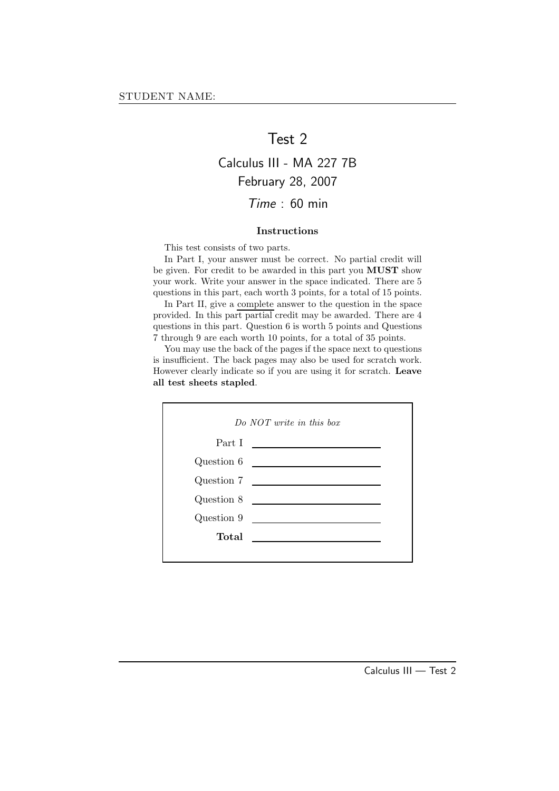## Test 2

## Calculus III - MA 227 7B February 28, 2007 Time : 60 min

### Instructions

This test consists of two parts.

In Part I, your answer must be correct. No partial credit will be given. For credit to be awarded in this part you MUST show your work. Write your answer in the space indicated. There are 5 questions in this part, each worth 3 points, for a total of 15 points.

In Part II, give a complete answer to the question in the space provided. In this part partial credit may be awarded. There are 4 questions in this part. Question 6 is worth 5 points and Questions 7 through 9 are each worth 10 points, for a total of 35 points.

You may use the back of the pages if the space next to questions is insufficient. The back pages may also be used for scratch work. However clearly indicate so if you are using it for scratch. Leave all test sheets stapled.

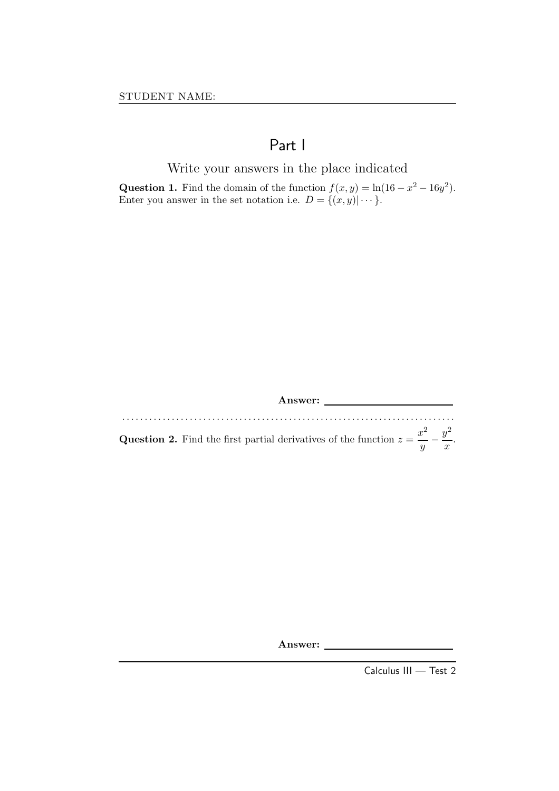## Part I

Write your answers in the place indicated

Question 1. Find the domain of the function  $f(x, y) = \ln(16 - x^2 - 16y^2)$ . Enter you answer in the set notation i.e.  $D = \{(x, y) | \cdots \}.$ 

Answer:

. . . . . . . . . . . . . . . . . . . . . . . . . . . . . . . . . . . . . . . . . . . . . . . . . . . . . . . . . . . . . . . . . . . . . . . . . . **Question 2.** Find the first partial derivatives of the function  $z = \frac{x^2}{x}$  $\frac{x^2}{y} - \frac{y^2}{x}$  $\frac{y}{x}$ .

Answer:

Calculus III — Test 2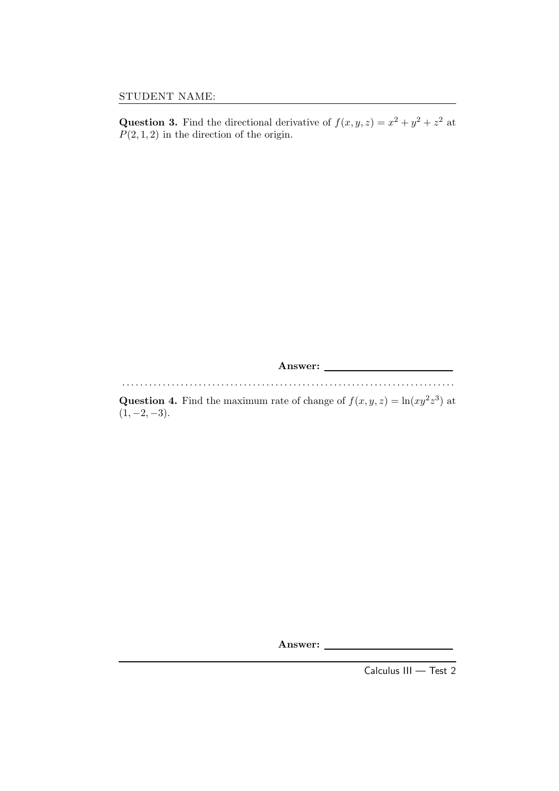**Question 3.** Find the directional derivative of  $f(x, y, z) = x^2 + y^2 + z^2$  at  $P(2, 1, 2)$  in the direction of the origin.

Answer: . . . . . . . . . . . . . . . . . . . . . . . . . . . . . . . . . . . . . . . . . . . . . . . . . . . . . . . . . . . . . . . . . . . . . . . . . .

**Question 4.** Find the maximum rate of change of  $f(x, y, z) = \ln(xy^2z^3)$  at  $(1, -2, -3)$ .

Answer:

Calculus III — Test 2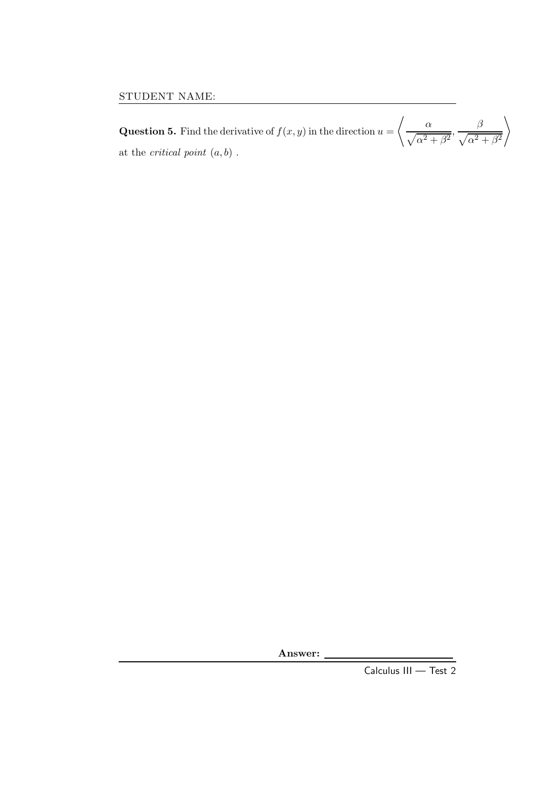**Question 5.** Find the derivative of  $f(x, y)$  in the direction  $u =$  $\frac{\ }{2}$   $\alpha$  $\frac{\alpha}{\sqrt{\alpha^2+\beta^2}}, \frac{\beta}{\sqrt{\alpha^2+\beta^2}}$  $\sqrt{\alpha^2 + \beta^2}$  $\setminus$ at the *critical point*  $(a, b)$ .

Answer:

Calculus III — Test 2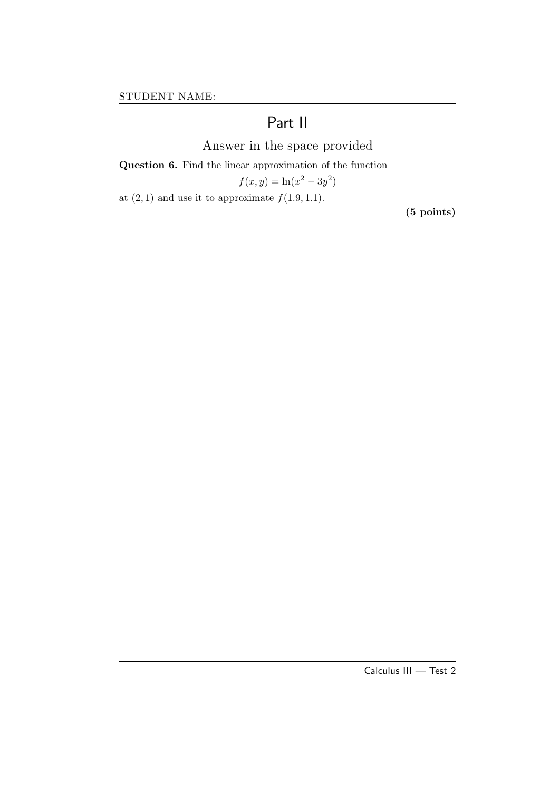# Part II

Answer in the space provided

Question 6. Find the linear approximation of the function

$$
f(x,y) = \ln(x^2 - 3y^2)
$$

at  $(2, 1)$  and use it to approximate  $f(1.9, 1.1)$ .

(5 points)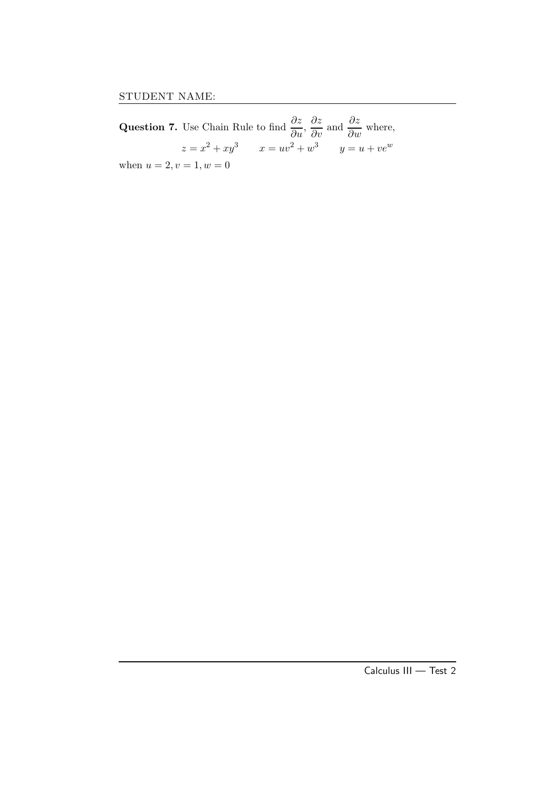Question 7. Use Chain Rule to find  $\frac{\partial z}{\partial u}$ ,  $\frac{\partial z}{\partial v}$  and  $\frac{\partial z}{\partial w}$  where,  $z = x^2 + xy^3$   $x = uv^2 + w^3$   $y = u + ve^w$ when  $u = 2, v = 1, w = 0$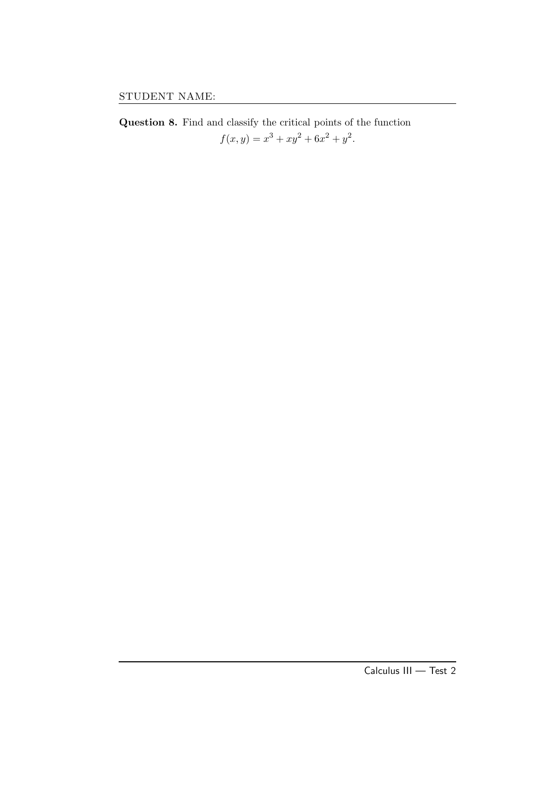Question 8. Find and classify the critical points of the function  $f(x, y) = x<sup>3</sup> + xy<sup>2</sup> + 6x<sup>2</sup> + y<sup>2</sup>.$